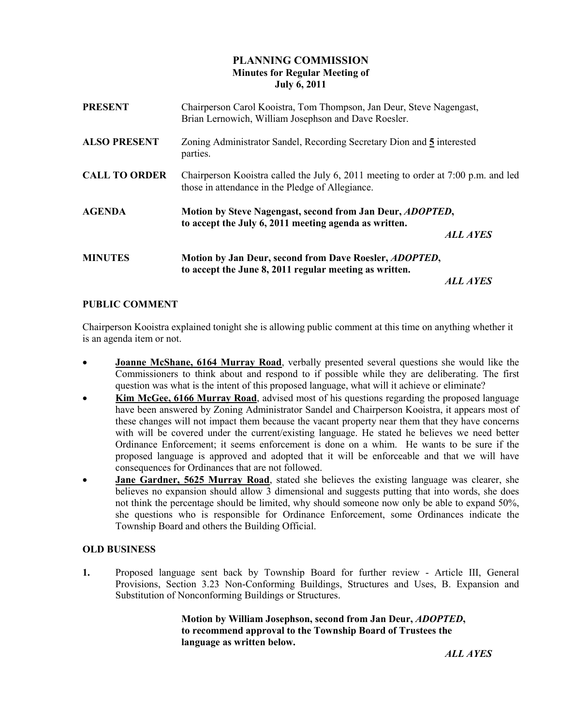# PLANNING COMMISSION Minutes for Regular Meeting of July 6, 2011

| <b>PRESENT</b>       | Chairperson Carol Kooistra, Tom Thompson, Jan Deur, Steve Nagengast,<br>Brian Lernowich, William Josephson and Dave Roesler.           |          |
|----------------------|----------------------------------------------------------------------------------------------------------------------------------------|----------|
| <b>ALSO PRESENT</b>  | Zoning Administrator Sandel, Recording Secretary Dion and 5 interested<br>parties.                                                     |          |
| <b>CALL TO ORDER</b> | Chairperson Kooistra called the July 6, 2011 meeting to order at 7:00 p.m. and led<br>those in attendance in the Pledge of Allegiance. |          |
| <b>AGENDA</b>        | Motion by Steve Nagengast, second from Jan Deur, ADOPTED,<br>to accept the July 6, 2011 meeting agenda as written.<br><b>ALL AYES</b>  |          |
| <b>MINUTES</b>       | Motion by Jan Deur, second from Dave Roesler, <i>ADOPTED</i> ,<br>to accept the June 8, 2011 regular meeting as written.               | ALL AYES |

# PUBLIC COMMENT

Chairperson Kooistra explained tonight she is allowing public comment at this time on anything whether it is an agenda item or not.

- Joanne McShane, 6164 Murray Road, verbally presented several questions she would like the Commissioners to think about and respond to if possible while they are deliberating. The first question was what is the intent of this proposed language, what will it achieve or eliminate?
- **Kim McGee, 6166 Murray Road**, advised most of his questions regarding the proposed language have been answered by Zoning Administrator Sandel and Chairperson Kooistra, it appears most of these changes will not impact them because the vacant property near them that they have concerns with will be covered under the current/existing language. He stated he believes we need better Ordinance Enforcement; it seems enforcement is done on a whim. He wants to be sure if the proposed language is approved and adopted that it will be enforceable and that we will have consequences for Ordinances that are not followed.
- **Jane Gardner, 5625 Murray Road**, stated she believes the existing language was clearer, she believes no expansion should allow 3 dimensional and suggests putting that into words, she does not think the percentage should be limited, why should someone now only be able to expand 50%, she questions who is responsible for Ordinance Enforcement, some Ordinances indicate the Township Board and others the Building Official.

### OLD BUSINESS

1. Proposed language sent back by Township Board for further review - Article III, General Provisions, Section 3.23 Non-Conforming Buildings, Structures and Uses, B. Expansion and Substitution of Nonconforming Buildings or Structures.

> Motion by William Josephson, second from Jan Deur, ADOPTED, to recommend approval to the Township Board of Trustees the language as written below.

ALL AYES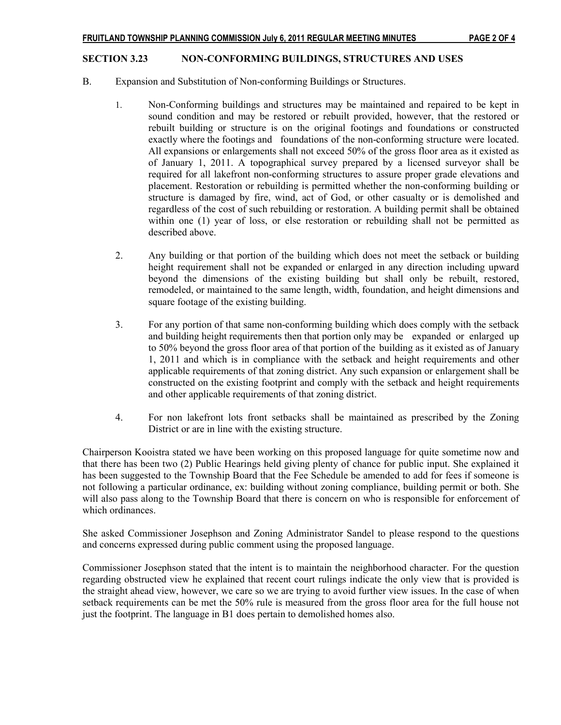#### SECTION 3.23 NON-CONFORMING BUILDINGS, STRUCTURES AND USES

- B. Expansion and Substitution of Non-conforming Buildings or Structures.
	- 1. Non-Conforming buildings and structures may be maintained and repaired to be kept in sound condition and may be restored or rebuilt provided, however, that the restored or rebuilt building or structure is on the original footings and foundations or constructed exactly where the footings and foundations of the non-conforming structure were located. All expansions or enlargements shall not exceed 50% of the gross floor area as it existed as of January 1, 2011. A topographical survey prepared by a licensed surveyor shall be required for all lakefront non-conforming structures to assure proper grade elevations and placement. Restoration or rebuilding is permitted whether the non-conforming building or structure is damaged by fire, wind, act of God, or other casualty or is demolished and regardless of the cost of such rebuilding or restoration. A building permit shall be obtained within one (1) year of loss, or else restoration or rebuilding shall not be permitted as described above.
	- 2. Any building or that portion of the building which does not meet the setback or building height requirement shall not be expanded or enlarged in any direction including upward beyond the dimensions of the existing building but shall only be rebuilt, restored, remodeled, or maintained to the same length, width, foundation, and height dimensions and square footage of the existing building.
	- 3. For any portion of that same non-conforming building which does comply with the setback and building height requirements then that portion only may be expanded or enlarged up to 50% beyond the gross floor area of that portion of the building as it existed as of January 1, 2011 and which is in compliance with the setback and height requirements and other applicable requirements of that zoning district. Any such expansion or enlargement shall be constructed on the existing footprint and comply with the setback and height requirements and other applicable requirements of that zoning district.
	- 4. For non lakefront lots front setbacks shall be maintained as prescribed by the Zoning District or are in line with the existing structure.

Chairperson Kooistra stated we have been working on this proposed language for quite sometime now and that there has been two (2) Public Hearings held giving plenty of chance for public input. She explained it has been suggested to the Township Board that the Fee Schedule be amended to add for fees if someone is not following a particular ordinance, ex: building without zoning compliance, building permit or both. She will also pass along to the Township Board that there is concern on who is responsible for enforcement of which ordinances.

She asked Commissioner Josephson and Zoning Administrator Sandel to please respond to the questions and concerns expressed during public comment using the proposed language.

Commissioner Josephson stated that the intent is to maintain the neighborhood character. For the question regarding obstructed view he explained that recent court rulings indicate the only view that is provided is the straight ahead view, however, we care so we are trying to avoid further view issues. In the case of when setback requirements can be met the 50% rule is measured from the gross floor area for the full house not just the footprint. The language in B1 does pertain to demolished homes also.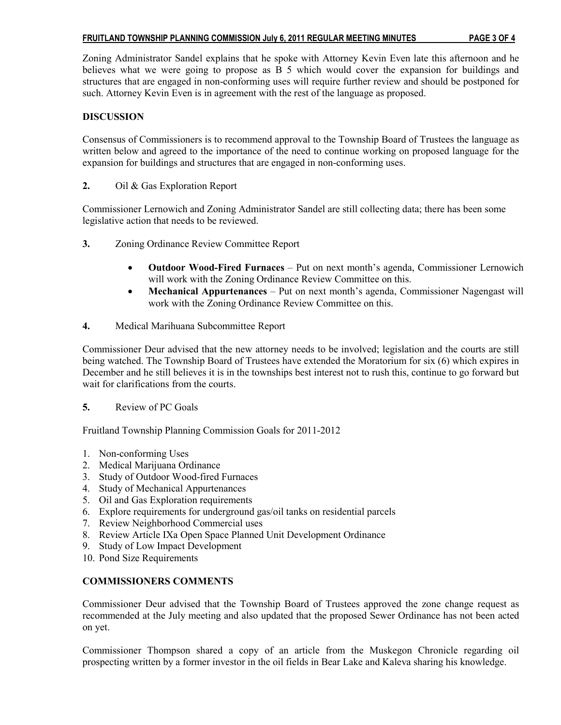### FRUITLAND TOWNSHIP PLANNING COMMISSION July 6, 2011 REGULAR MEETING MINUTES PAGE 3 OF 4

Zoning Administrator Sandel explains that he spoke with Attorney Kevin Even late this afternoon and he believes what we were going to propose as B 5 which would cover the expansion for buildings and structures that are engaged in non-conforming uses will require further review and should be postponed for such. Attorney Kevin Even is in agreement with the rest of the language as proposed.

## DISCUSSION

Consensus of Commissioners is to recommend approval to the Township Board of Trustees the language as written below and agreed to the importance of the need to continue working on proposed language for the expansion for buildings and structures that are engaged in non-conforming uses.

2. Oil & Gas Exploration Report

Commissioner Lernowich and Zoning Administrator Sandel are still collecting data; there has been some legislative action that needs to be reviewed.

- 3. Zoning Ordinance Review Committee Report
	- Outdoor Wood-Fired Furnaces Put on next month's agenda, Commissioner Lernowich will work with the Zoning Ordinance Review Committee on this.
	- Mechanical Appurtenances Put on next month's agenda, Commissioner Nagengast will work with the Zoning Ordinance Review Committee on this.
- 4. Medical Marihuana Subcommittee Report

Commissioner Deur advised that the new attorney needs to be involved; legislation and the courts are still being watched. The Township Board of Trustees have extended the Moratorium for six (6) which expires in December and he still believes it is in the townships best interest not to rush this, continue to go forward but wait for clarifications from the courts.

### 5. Review of PC Goals

Fruitland Township Planning Commission Goals for 2011-2012

- 1. Non-conforming Uses
- 2. Medical Marijuana Ordinance
- 3. Study of Outdoor Wood-fired Furnaces
- 4. Study of Mechanical Appurtenances
- 5. Oil and Gas Exploration requirements
- 6. Explore requirements for underground gas/oil tanks on residential parcels
- 7. Review Neighborhood Commercial uses
- 8. Review Article IXa Open Space Planned Unit Development Ordinance
- 9. Study of Low Impact Development
- 10. Pond Size Requirements

### COMMISSIONERS COMMENTS

Commissioner Deur advised that the Township Board of Trustees approved the zone change request as recommended at the July meeting and also updated that the proposed Sewer Ordinance has not been acted on yet.

Commissioner Thompson shared a copy of an article from the Muskegon Chronicle regarding oil prospecting written by a former investor in the oil fields in Bear Lake and Kaleva sharing his knowledge.